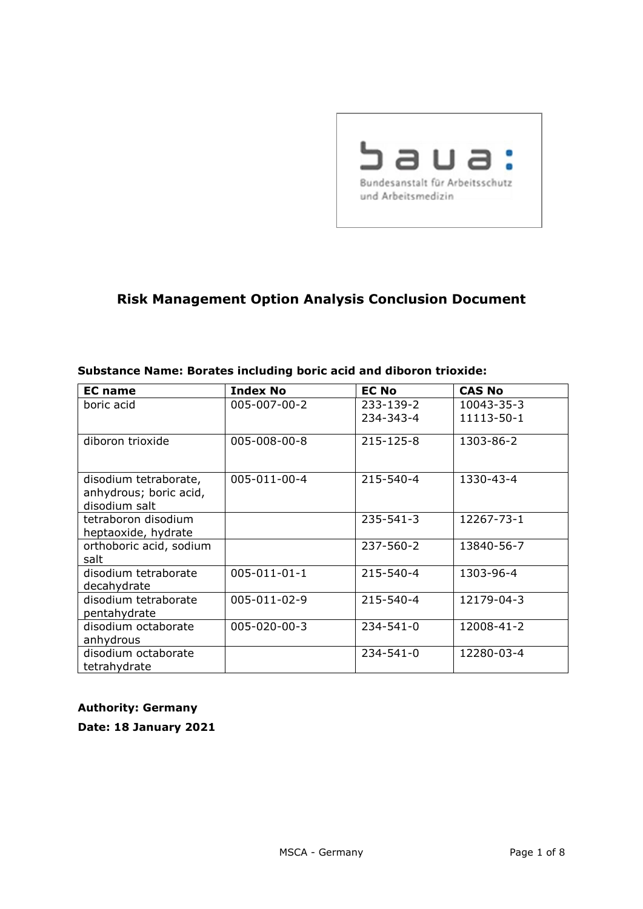

# **Risk Management Option Analysis Conclusion Document**

| <b>EC</b> name                                                   | <b>Index No</b>      | <b>EC No</b>    | <b>CAS No</b> |
|------------------------------------------------------------------|----------------------|-----------------|---------------|
| boric acid                                                       | 005-007-00-2         | 233-139-2       | 10043-35-3    |
|                                                                  |                      | 234-343-4       | 11113-50-1    |
| diboron trioxide                                                 | 005-008-00-8         | 215-125-8       | 1303-86-2     |
| disodium tetraborate,<br>anhydrous; boric acid,<br>disodium salt | 005-011-00-4         | 215-540-4       | 1330-43-4     |
| tetraboron disodium                                              |                      | 235-541-3       | 12267-73-1    |
| heptaoxide, hydrate                                              |                      |                 |               |
| orthoboric acid, sodium                                          |                      | 237-560-2       | 13840-56-7    |
| salt                                                             |                      |                 |               |
| disodium tetraborate<br>decahydrate                              | $005 - 011 - 01 - 1$ | 215-540-4       | 1303-96-4     |
| disodium tetraborate<br>pentahydrate                             | 005-011-02-9         | 215-540-4       | 12179-04-3    |
| disodium octaborate                                              | $005 - 020 - 00 - 3$ | $234 - 541 - 0$ | 12008-41-2    |
| anhydrous                                                        |                      |                 |               |
| disodium octaborate                                              |                      | $234 - 541 - 0$ | 12280-03-4    |
| tetrahydrate                                                     |                      |                 |               |

#### **Substance Name: Borates including boric acid and diboron trioxide:**

#### **Authority: Germany**

**Date: 18 January 2021**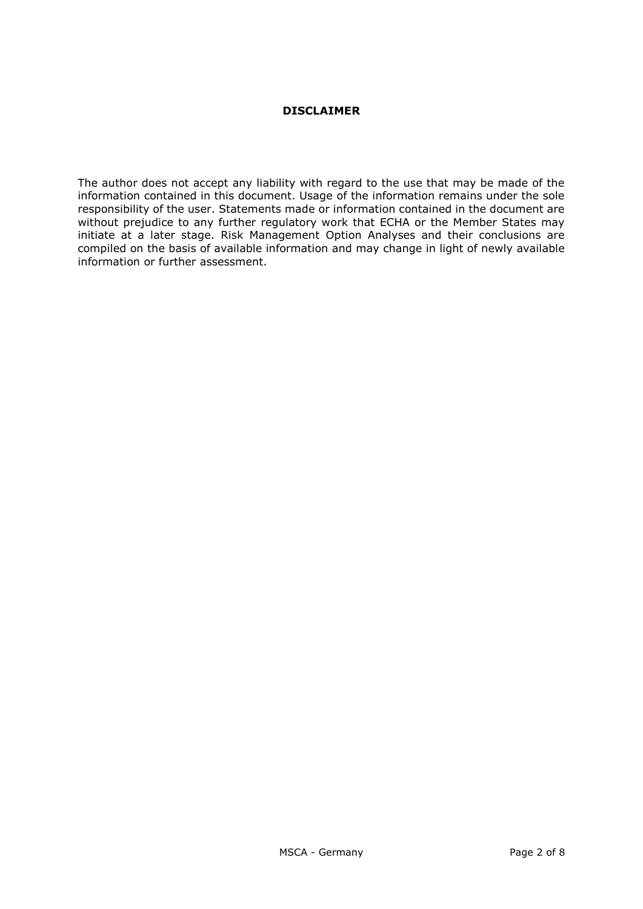#### **DISCLAIMER**

The author does not accept any liability with regard to the use that may be made of the information contained in this document. Usage of the information remains under the sole responsibility of the user. Statements made or information contained in the document are without prejudice to any further regulatory work that ECHA or the Member States may initiate at a later stage. Risk Management Option Analyses and their conclusions are compiled on the basis of available information and may change in light of newly available information or further assessment.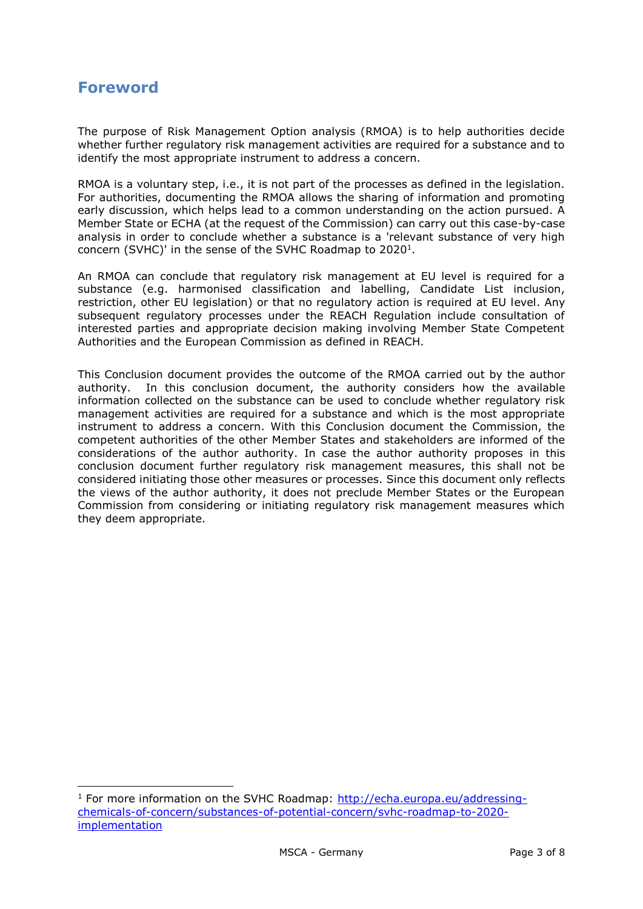# **Foreword**

-

The purpose of Risk Management Option analysis (RMOA) is to help authorities decide whether further regulatory risk management activities are required for a substance and to identify the most appropriate instrument to address a concern.

RMOA is a voluntary step, i.e., it is not part of the processes as defined in the legislation. For authorities, documenting the RMOA allows the sharing of information and promoting early discussion, which helps lead to a common understanding on the action pursued. A Member State or ECHA (at the request of the Commission) can carry out this case-by-case analysis in order to conclude whether a substance is a 'relevant substance of very high concern (SVHC)' in the sense of the SVHC Roadmap to  $2020<sup>1</sup>$ .

An RMOA can conclude that regulatory risk management at EU level is required for a substance (e.g. harmonised classification and labelling, Candidate List inclusion, restriction, other EU legislation) or that no regulatory action is required at EU level. Any subsequent regulatory processes under the REACH Regulation include consultation of interested parties and appropriate decision making involving Member State Competent Authorities and the European Commission as defined in REACH.

This Conclusion document provides the outcome of the RMOA carried out by the author authority. In this conclusion document, the authority considers how the available information collected on the substance can be used to conclude whether regulatory risk management activities are required for a substance and which is the most appropriate instrument to address a concern. With this Conclusion document the Commission, the competent authorities of the other Member States and stakeholders are informed of the considerations of the author authority. In case the author authority proposes in this conclusion document further regulatory risk management measures, this shall not be considered initiating those other measures or processes. Since this document only reflects the views of the author authority, it does not preclude Member States or the European Commission from considering or initiating regulatory risk management measures which they deem appropriate.

 $1$  For more information on the SVHC Roadmap: [http://echa.europa.eu/addressing](http://echa.europa.eu/addressing-chemicals-of-concern/substances-of-potential-concern/svhc-roadmap-to-2020-implementation)[chemicals-of-concern/substances-of-potential-concern/svhc-roadmap-to-2020](http://echa.europa.eu/addressing-chemicals-of-concern/substances-of-potential-concern/svhc-roadmap-to-2020-implementation) [implementation](http://echa.europa.eu/addressing-chemicals-of-concern/substances-of-potential-concern/svhc-roadmap-to-2020-implementation)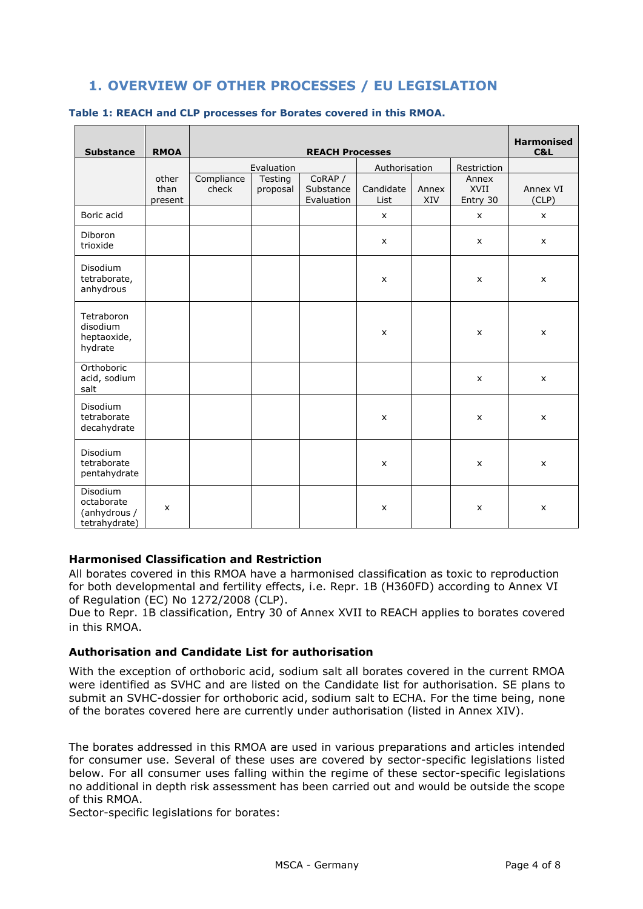# **1. OVERVIEW OF OTHER PROCESSES / EU LEGISLATION**

| <b>Substance</b>                                        | <b>RMOA</b>              | <b>REACH Processes</b> |                     |                                    |                   |              |                           | <b>Harmonised</b><br>C&L |
|---------------------------------------------------------|--------------------------|------------------------|---------------------|------------------------------------|-------------------|--------------|---------------------------|--------------------------|
|                                                         |                          | Evaluation             |                     |                                    | Authorisation     |              | Restriction               |                          |
|                                                         | other<br>than<br>present | Compliance<br>check    | Testing<br>proposal | CoRAP /<br>Substance<br>Evaluation | Candidate<br>List | Annex<br>XIV | Annex<br>XVII<br>Entry 30 | Annex VI<br>(CLP)        |
| Boric acid                                              |                          |                        |                     |                                    | $\pmb{\times}$    |              | X                         | $\pmb{\times}$           |
| Diboron<br>trioxide                                     |                          |                        |                     |                                    | $\pmb{\times}$    |              | X                         | $\pmb{\times}$           |
| Disodium<br>tetraborate,<br>anhydrous                   |                          |                        |                     |                                    | X                 |              | X                         | $\pmb{\times}$           |
| Tetraboron<br>disodium<br>heptaoxide,<br>hydrate        |                          |                        |                     |                                    | X                 |              | X                         | $\pmb{\times}$           |
| Orthoboric<br>acid, sodium<br>salt                      |                          |                        |                     |                                    |                   |              | X                         | $\pmb{\times}$           |
| Disodium<br>tetraborate<br>decahydrate                  |                          |                        |                     |                                    | X                 |              | X                         | X                        |
| Disodium<br>tetraborate<br>pentahydrate                 |                          |                        |                     |                                    | $\pmb{\times}$    |              | $\pmb{\times}$            | $\pmb{\times}$           |
| Disodium<br>octaborate<br>(anhydrous /<br>tetrahydrate) | $\mathsf{x}$             |                        |                     |                                    | X                 |              | X                         | $\pmb{\times}$           |

#### **Table 1: REACH and CLP processes for Borates covered in this RMOA.**

#### **Harmonised Classification and Restriction**

All borates covered in this RMOA have a harmonised classification as toxic to reproduction for both developmental and fertility effects, i.e. Repr. 1B (H360FD) according to Annex VI of Regulation (EC) No 1272/2008 (CLP).

Due to Repr. 1B classification, Entry 30 of Annex XVII to REACH applies to borates covered in this RMOA.

#### **Authorisation and Candidate List for authorisation**

With the exception of orthoboric acid, sodium salt all borates covered in the current RMOA were identified as SVHC and are listed on the Candidate list for authorisation. SE plans to submit an SVHC-dossier for orthoboric acid, sodium salt to ECHA. For the time being, none of the borates covered here are currently under authorisation (listed in Annex XIV).

The borates addressed in this RMOA are used in various preparations and articles intended for consumer use. Several of these uses are covered by sector-specific legislations listed below. For all consumer uses falling within the regime of these sector-specific legislations no additional in depth risk assessment has been carried out and would be outside the scope of this RMOA.

Sector-specific legislations for borates: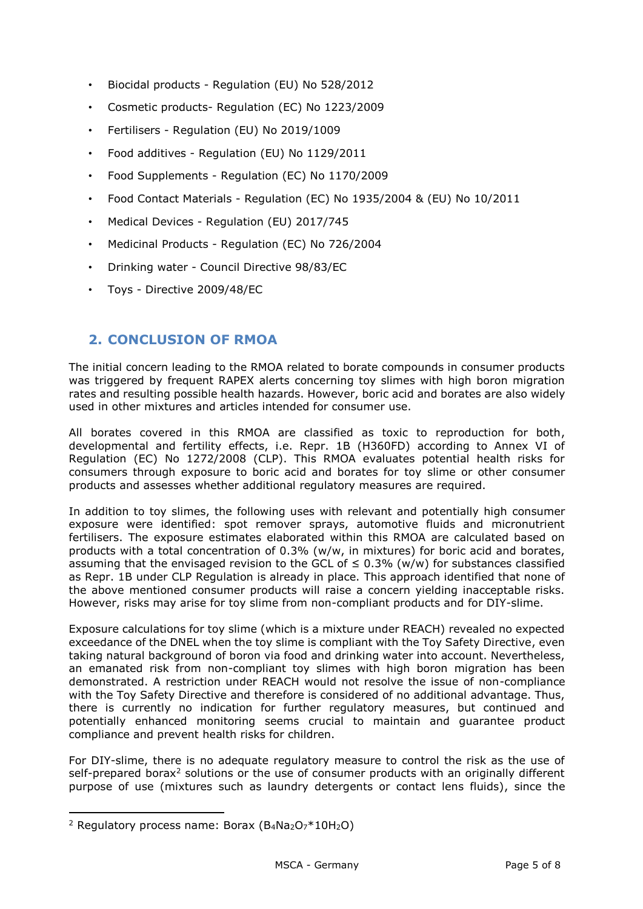- Biocidal products Regulation (EU) No 528/2012
- Cosmetic products- Regulation (EC) No 1223/2009
- Fertilisers Regulation (EU) No 2019/1009
- Food additives Regulation (EU) No 1129/2011
- Food Supplements Regulation (EC) No 1170/2009
- Food Contact Materials Regulation (EC) No 1935/2004 & (EU) No 10/2011
- Medical Devices Regulation (EU) 2017/745
- Medicinal Products Regulation (EC) No 726/2004
- Drinking water Council Directive 98/83/EC
- Toys Directive 2009/48/EC

### **2. CONCLUSION OF RMOA**

The initial concern leading to the RMOA related to borate compounds in consumer products was triggered by frequent RAPEX alerts concerning toy slimes with high boron migration rates and resulting possible health hazards. However, boric acid and borates are also widely used in other mixtures and articles intended for consumer use.

All borates covered in this RMOA are classified as toxic to reproduction for both, developmental and fertility effects, i.e. Repr. 1B (H360FD) according to Annex VI of Regulation (EC) No 1272/2008 (CLP). This RMOA evaluates potential health risks for consumers through exposure to boric acid and borates for toy slime or other consumer products and assesses whether additional regulatory measures are required.

In addition to toy slimes, the following uses with relevant and potentially high consumer exposure were identified: spot remover sprays, automotive fluids and micronutrient fertilisers. The exposure estimates elaborated within this RMOA are calculated based on products with a total concentration of 0.3% (w/w, in mixtures) for boric acid and borates, assuming that the envisaged revision to the GCL of  $\leq$  0.3% (w/w) for substances classified as Repr. 1B under CLP Regulation is already in place. This approach identified that none of the above mentioned consumer products will raise a concern yielding inacceptable risks. However, risks may arise for toy slime from non-compliant products and for DIY-slime.

Exposure calculations for toy slime (which is a mixture under REACH) revealed no expected exceedance of the DNEL when the toy slime is compliant with the Toy Safety Directive, even taking natural background of boron via food and drinking water into account. Nevertheless, an emanated risk from non-compliant toy slimes with high boron migration has been demonstrated. A restriction under REACH would not resolve the issue of non-compliance with the Toy Safety Directive and therefore is considered of no additional advantage. Thus, there is currently no indication for further regulatory measures, but continued and potentially enhanced monitoring seems crucial to maintain and guarantee product compliance and prevent health risks for children.

For DIY-slime, there is no adequate regulatory measure to control the risk as the use of self-prepared borax $2$  solutions or the use of consumer products with an originally different purpose of use (mixtures such as laundry detergents or contact lens fluids), since the

<sup>&</sup>lt;sup>2</sup> Regulatory process name: Borax (B<sub>4</sub>Na<sub>2</sub>O<sub>7</sub>\*10H<sub>2</sub>O)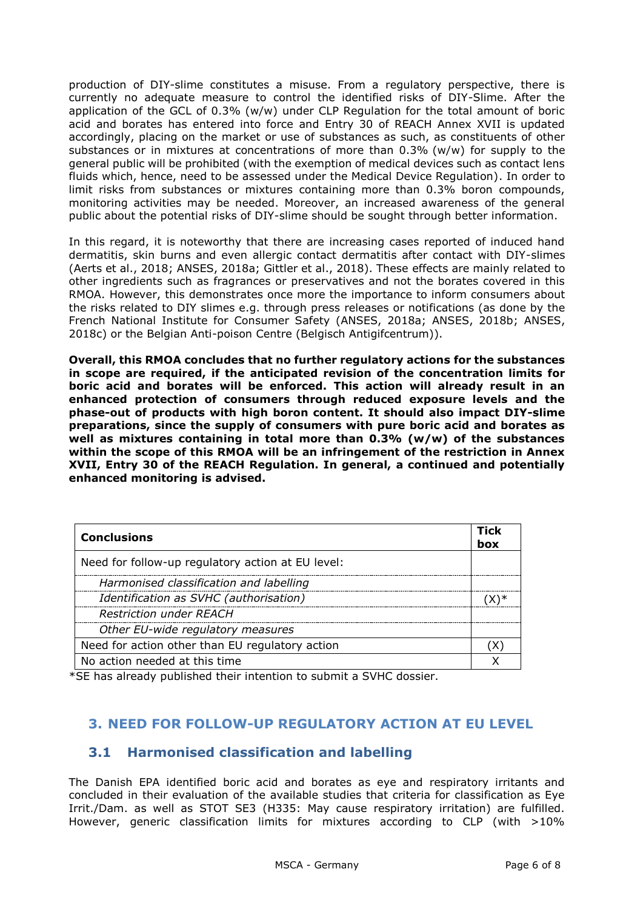production of DIY-slime constitutes a misuse. From a regulatory perspective, there is currently no adequate measure to control the identified risks of DIY-Slime. After the application of the GCL of 0.3% (w/w) under CLP Regulation for the total amount of boric acid and borates has entered into force and Entry 30 of REACH Annex XVII is updated accordingly, placing on the market or use of substances as such, as constituents of other substances or in mixtures at concentrations of more than 0.3% (w/w) for supply to the general public will be prohibited (with the exemption of medical devices such as contact lens fluids which, hence, need to be assessed under the Medical Device Regulation). In order to limit risks from substances or mixtures containing more than 0.3% boron compounds, monitoring activities may be needed. Moreover, an increased awareness of the general public about the potential risks of DIY-slime should be sought through better information.

In this regard, it is noteworthy that there are increasing cases reported of induced hand dermatitis, skin burns and even allergic contact dermatitis after contact with DIY-slimes (Aerts et al., 2018; ANSES, 2018a; Gittler et al., 2018). These effects are mainly related to other ingredients such as fragrances or preservatives and not the borates covered in this RMOA. However, this demonstrates once more the importance to inform consumers about the risks related to DIY slimes e.g. through press releases or notifications (as done by the French National Institute for Consumer Safety (ANSES, 2018a; ANSES, 2018b; ANSES, 2018c) or the Belgian Anti-poison Centre (Belgisch Antigifcentrum)).

**Overall, this RMOA concludes that no further regulatory actions for the substances in scope are required, if the anticipated revision of the concentration limits for boric acid and borates will be enforced. This action will already result in an enhanced protection of consumers through reduced exposure levels and the phase-out of products with high boron content. It should also impact DIY-slime preparations, since the supply of consumers with pure boric acid and borates as well as mixtures containing in total more than 0.3% (w/w) of the substances within the scope of this RMOA will be an infringement of the restriction in Annex XVII, Entry 30 of the REACH Regulation. In general, a continued and potentially enhanced monitoring is advised.** 

| <b>Conclusions</b>                                |  |  |
|---------------------------------------------------|--|--|
| Need for follow-up regulatory action at EU level: |  |  |
| Harmonised classification and labelling           |  |  |
| Identification as SVHC (authorisation)            |  |  |
| <b>Restriction under REACH</b>                    |  |  |
| Other EU-wide regulatory measures                 |  |  |
| Need for action other than EU regulatory action   |  |  |
| No action needed at this time                     |  |  |

\*SE has already published their intention to submit a SVHC dossier.

### **3. NEED FOR FOLLOW-UP REGULATORY ACTION AT EU LEVEL**

### **3.1 Harmonised classification and labelling**

The Danish EPA identified boric acid and borates as eye and respiratory irritants and concluded in their evaluation of the available studies that criteria for classification as Eye Irrit./Dam. as well as STOT SE3 (H335: May cause respiratory irritation) are fulfilled. However, generic classification limits for mixtures according to CLP (with >10%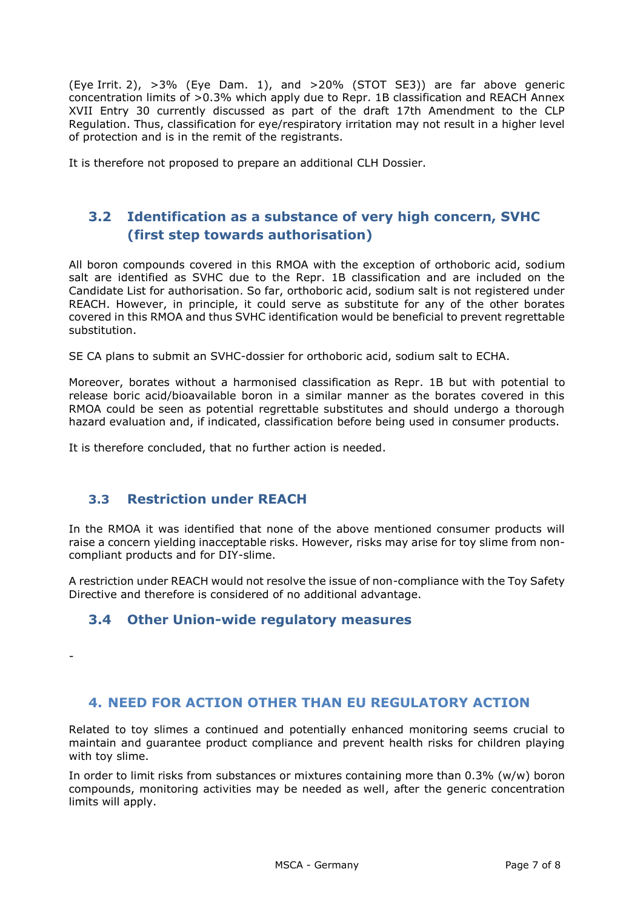(Eye Irrit. 2), >3% (Eye Dam. 1), and >20% (STOT SE3)) are far above generic concentration limits of >0.3% which apply due to Repr. 1B classification and REACH Annex XVII Entry 30 currently discussed as part of the draft 17th Amendment to the CLP Regulation. Thus, classification for eye/respiratory irritation may not result in a higher level of protection and is in the remit of the registrants.

It is therefore not proposed to prepare an additional CLH Dossier.

# **3.2 Identification as a substance of very high concern, SVHC (first step towards authorisation)**

All boron compounds covered in this RMOA with the exception of orthoboric acid, sodium salt are identified as SVHC due to the Repr. 1B classification and are included on the Candidate List for authorisation. So far, orthoboric acid, sodium salt is not registered under REACH. However, in principle, it could serve as substitute for any of the other borates covered in this RMOA and thus SVHC identification would be beneficial to prevent regrettable substitution.

SE CA plans to submit an SVHC-dossier for orthoboric acid, sodium salt to ECHA.

Moreover, borates without a harmonised classification as Repr. 1B but with potential to release boric acid/bioavailable boron in a similar manner as the borates covered in this RMOA could be seen as potential regrettable substitutes and should undergo a thorough hazard evaluation and, if indicated, classification before being used in consumer products.

It is therefore concluded, that no further action is needed.

### **3.3 Restriction under REACH**

*-*

In the RMOA it was identified that none of the above mentioned consumer products will raise a concern yielding inacceptable risks. However, risks may arise for toy slime from noncompliant products and for DIY-slime.

A restriction under REACH would not resolve the issue of non-compliance with the Toy Safety Directive and therefore is considered of no additional advantage.

# **3.4 Other Union-wide regulatory measures**

#### **4. NEED FOR ACTION OTHER THAN EU REGULATORY ACTION**

Related to toy slimes a continued and potentially enhanced monitoring seems crucial to maintain and guarantee product compliance and prevent health risks for children playing with toy slime.

In order to limit risks from substances or mixtures containing more than 0.3% (w/w) boron compounds, monitoring activities may be needed as well, after the generic concentration limits will apply.